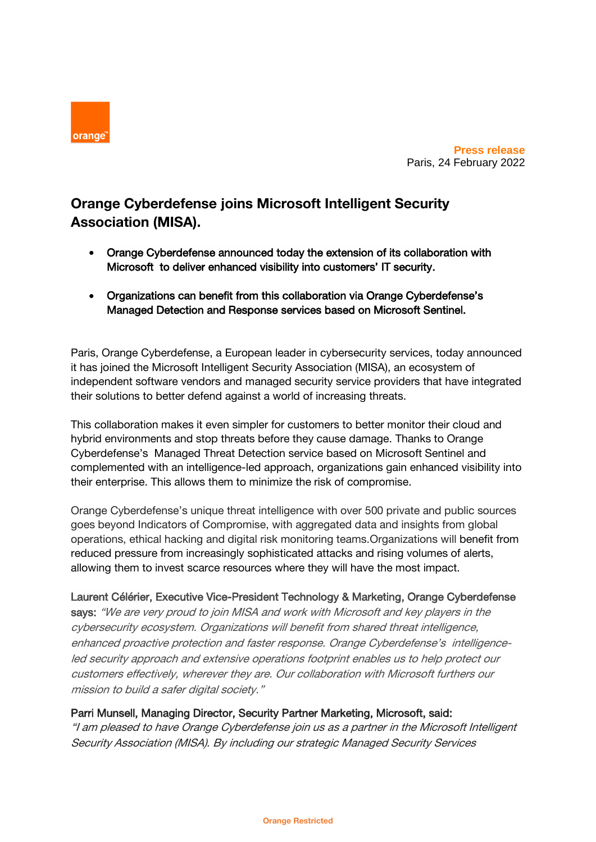

**Press release** Paris, 24 February 2022

# **Orange Cyberdefense joins Microsoft Intelligent Security Association (MISA).**

- Orange Cyberdefense announced today the extension of its collaboration with Microsoft to deliver enhanced visibility into customers' IT security.
- Organizations can benefit from this collaboration via Orange Cyberdefense's Managed Detection and Response services based on Microsoft Sentinel.

Paris, Orange Cyberdefense, a European leader in cybersecurity services, today announced it has joined the Microsoft Intelligent Security Association (MISA), an ecosystem of independent software vendors and managed security service providers that have integrated their solutions to better defend against a world of increasing threats.

This collaboration makes it even simpler for customers to better monitor their cloud and hybrid environments and stop threats before they cause damage. Thanks to Orange Cyberdefense's Managed Threat Detection service based on Microsoft Sentinel and complemented with an intelligence-led approach, organizations gain enhanced visibility into their enterprise. This allows them to minimize the risk of compromise.

Orange Cyberdefense's unique threat intelligence with over 500 private and public sources goes beyond Indicators of Compromise, with aggregated data and insights from global operations, ethical hacking and digital risk monitoring teams.Organizations will benefit from reduced pressure from increasingly sophisticated attacks and rising volumes of alerts, allowing them to invest scarce resources where they will have the most impact.

## Laurent Célérier, Executive Vice-President Technology & Marketing, Orange Cyberdefense

says: "We are very proud to join MISA and work with Microsoft and key players in the cybersecurity ecosystem. Organizations will benefit from shared threat intelligence, enhanced proactive protection and faster response. Orange Cyberdefense's intelligenceled security approach and extensive operations footprint enables us to help protect our customers effectively, wherever they are. Our collaboration with Microsoft furthers our mission to build a safer digital society."

## Parri Munsell, Managing Director, Security Partner Marketing, Microsoft, said:

"I am pleased to have Orange Cyberdefense join us as a partner in the Microsoft Intelligent Security Association (MISA). By including our strategic Managed Security Services